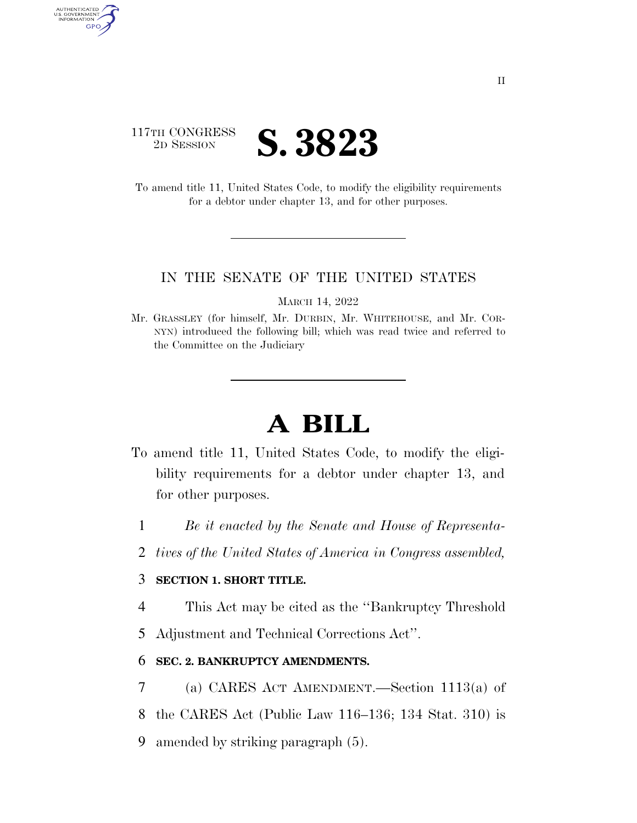

AUTHENTICATED<br>U.S. GOVERNMENT<br>INFORMATION **GPO** 

> To amend title 11, United States Code, to modify the eligibility requirements for a debtor under chapter 13, and for other purposes.

## IN THE SENATE OF THE UNITED STATES

MARCH 14, 2022

Mr. GRASSLEY (for himself, Mr. DURBIN, Mr. WHITEHOUSE, and Mr. COR-NYN) introduced the following bill; which was read twice and referred to the Committee on the Judiciary

## **A BILL**

- To amend title 11, United States Code, to modify the eligibility requirements for a debtor under chapter 13, and for other purposes.
	- 1 *Be it enacted by the Senate and House of Representa-*
	- 2 *tives of the United States of America in Congress assembled,*

## 3 **SECTION 1. SHORT TITLE.**

- 4 This Act may be cited as the ''Bankruptcy Threshold
- 5 Adjustment and Technical Corrections Act''.

## 6 **SEC. 2. BANKRUPTCY AMENDMENTS.**

- 7 (a) CARES ACT AMENDMENT.—Section 1113(a) of 8 the CARES Act (Public Law 116–136; 134 Stat. 310) is
- 
- 9 amended by striking paragraph (5).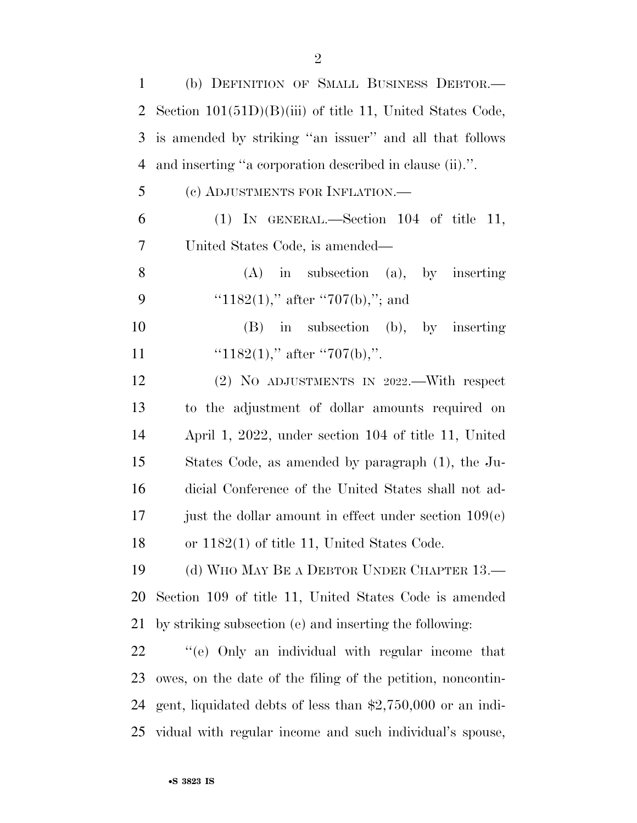| 1  | (b) DEFINITION OF SMALL BUSINESS DEBTOR.-                    |
|----|--------------------------------------------------------------|
| 2  | Section $101(51D)(B)(iii)$ of title 11, United States Code,  |
| 3  | is amended by striking "an issuer" and all that follows      |
| 4  | and inserting "a corporation described in clause (ii).".     |
| 5  | (c) ADJUSTMENTS FOR INFLATION.—                              |
| 6  | (1) IN GENERAL.—Section $104$ of title 11,                   |
| 7  | United States Code, is amended—                              |
| 8  | $(A)$ in subsection $(a)$ , by inserting                     |
| 9  | " $1182(1)$ ," after " $707(b)$ ,"; and                      |
| 10 | in subsection (b), by inserting<br>(B)                       |
| 11 | " $1182(1)$ ," after "707(b),".                              |
| 12 | $(2)$ NO ADJUSTMENTS IN 2022.—With respect                   |
| 13 | to the adjustment of dollar amounts required on              |
| 14 | April 1, 2022, under section 104 of title 11, United         |
| 15 | States Code, as amended by paragraph (1), the Ju-            |
| 16 | dicial Conference of the United States shall not ad-         |
| 17 | just the dollar amount in effect under section $109(e)$      |
| 18 | or 1182(1) of title 11, United States Code.                  |
| 19 | (d) WHO MAY BE A DEBTOR UNDER CHAPTER 13.—                   |
| 20 | Section 109 of title 11, United States Code is amended       |
| 21 | by striking subsection (e) and inserting the following:      |
| 22 | "(e) Only an individual with regular income that             |
| 23 | owes, on the date of the filing of the petition, noncontin-  |
| 24 | gent, liquidated debts of less than $$2,750,000$ or an indi- |
| 25 | vidual with regular income and such individual's spouse,     |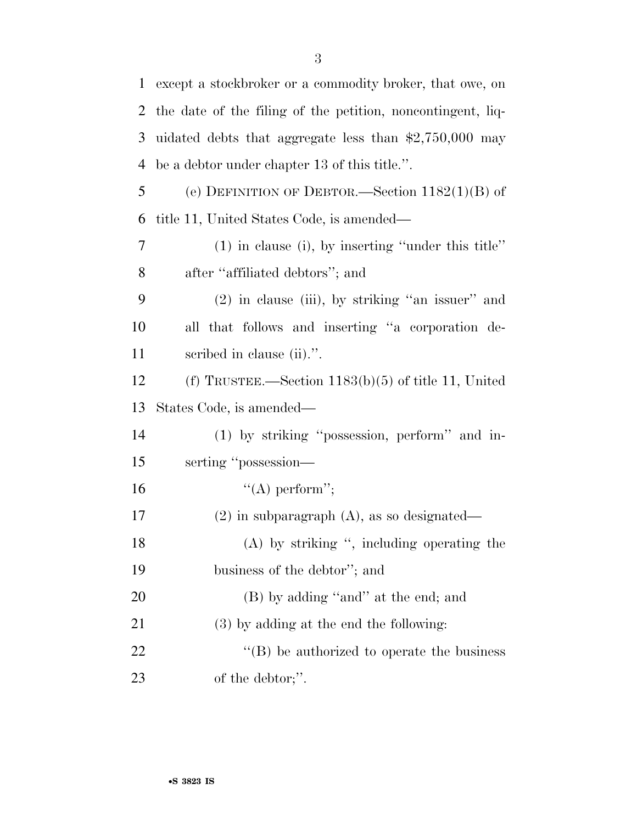| $\mathbf{1}$ | except a stockbroker or a commodity broker, that owe, on    |
|--------------|-------------------------------------------------------------|
| 2            | the date of the filing of the petition, noncontingent, liq- |
| 3            | uidated debts that aggregate less than $$2,750,000$ may     |
| 4            | be a debtor under chapter 13 of this title.".               |
| 5            | (e) DEFINITION OF DEBTOR.—Section $1182(1)(B)$ of           |
| 6            | title 11, United States Code, is amended—                   |
| $\tau$       | $(1)$ in clause (i), by inserting "under this title"        |
| 8            | after "affiliated debtors"; and                             |
| 9            | $(2)$ in clause (iii), by striking "an issuer" and          |
| 10           | all that follows and inserting "a corporation de-           |
| 11           | scribed in clause (ii).".                                   |
| 12           | (f) TRUSTEE.—Section $1183(b)(5)$ of title 11, United       |
| 13           | States Code, is amended—                                    |
| 14           | (1) by striking "possession, perform" and in-               |
| 15           | serting "possession-                                        |
| 16           | $\lq\lq (A)$ perform";                                      |
| 17           | $(2)$ in subparagraph $(A)$ , as so designated—             |
| 18           | $(A)$ by striking ", including operating the                |
| 19           | business of the debtor"; and                                |
| 20           | (B) by adding "and" at the end; and                         |
| 21           | $(3)$ by adding at the end the following:                   |
| 22           | $\lq\lq (B)$ be authorized to operate the business          |
| 23           | of the debtor;".                                            |